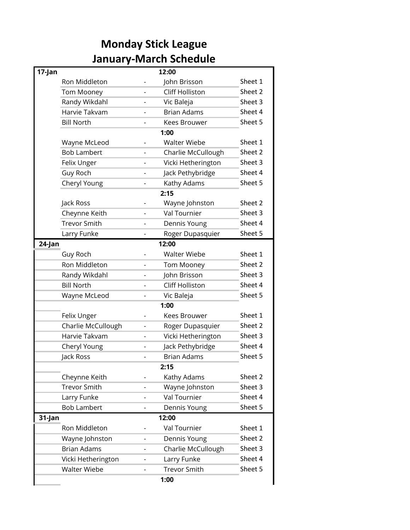## **Monday Stick League January-March Schedule**

| 17-Jan          |                     |                          | 12:00                  |         |
|-----------------|---------------------|--------------------------|------------------------|---------|
|                 | Ron Middleton       |                          | John Brisson           | Sheet 1 |
|                 | Tom Mooney          |                          | <b>Cliff Holliston</b> | Sheet 2 |
|                 | Randy Wikdahl       |                          | Vic Baleja             | Sheet 3 |
|                 | Harvie Takvam       |                          | <b>Brian Adams</b>     | Sheet 4 |
|                 | <b>Bill North</b>   |                          | <b>Kees Brouwer</b>    | Sheet 5 |
|                 |                     |                          | 1:00                   |         |
|                 | Wayne McLeod        |                          | <b>Walter Wiebe</b>    | Sheet 1 |
|                 | <b>Bob Lambert</b>  |                          | Charlie McCullough     | Sheet 2 |
|                 | Felix Unger         |                          | Vicki Hetherington     | Sheet 3 |
|                 | Guy Roch            | $\overline{\phantom{a}}$ | Jack Pethybridge       | Sheet 4 |
|                 | Cheryl Young        |                          | Kathy Adams            | Sheet 5 |
|                 |                     |                          | 2:15                   |         |
|                 | Jack Ross           |                          | Wayne Johnston         | Sheet 2 |
|                 | Cheynne Keith       | $\overline{\phantom{a}}$ | <b>Val Tournier</b>    | Sheet 3 |
|                 | <b>Trevor Smith</b> |                          | Dennis Young           | Sheet 4 |
|                 | Larry Funke         |                          | Roger Dupasquier       | Sheet 5 |
| 24-Jan<br>12:00 |                     |                          |                        |         |
|                 | Guy Roch            |                          | <b>Walter Wiebe</b>    | Sheet 1 |
|                 | Ron Middleton       |                          | Tom Mooney             | Sheet 2 |
|                 | Randy Wikdahl       |                          | John Brisson           | Sheet 3 |
|                 | <b>Bill North</b>   |                          | <b>Cliff Holliston</b> | Sheet 4 |
|                 | Wayne McLeod        |                          | Vic Baleja             | Sheet 5 |
|                 |                     |                          | 1:00                   |         |
|                 | Felix Unger         |                          | Kees Brouwer           | Sheet 1 |
|                 | Charlie McCullough  | $\overline{\phantom{m}}$ | Roger Dupasquier       | Sheet 2 |
|                 | Harvie Takvam       |                          | Vicki Hetherington     | Sheet 3 |
|                 | Cheryl Young        |                          | Jack Pethybridge       | Sheet 4 |
|                 | Jack Ross           |                          | <b>Brian Adams</b>     | Sheet 5 |
|                 |                     |                          | 2:15                   |         |
|                 | Cheynne Keith       |                          | Kathy Adams            | Sheet 2 |
|                 | <b>Trevor Smith</b> |                          | Wayne Johnston         | Sheet 3 |
|                 | Larry Funke         |                          | Val Tournier           | Sheet 4 |
|                 | <b>Bob Lambert</b>  |                          | Dennis Young           | Sheet 5 |
| 31-Jan          |                     |                          | 12:00                  |         |
|                 | Ron Middleton       |                          | Val Tournier           | Sheet 1 |
|                 | Wayne Johnston      |                          | Dennis Young           | Sheet 2 |
|                 | <b>Brian Adams</b>  |                          | Charlie McCullough     | Sheet 3 |
|                 | Vicki Hetherington  |                          | Larry Funke            | Sheet 4 |
|                 | <b>Walter Wiebe</b> |                          | <b>Trevor Smith</b>    | Sheet 5 |
|                 |                     |                          | 1:00                   |         |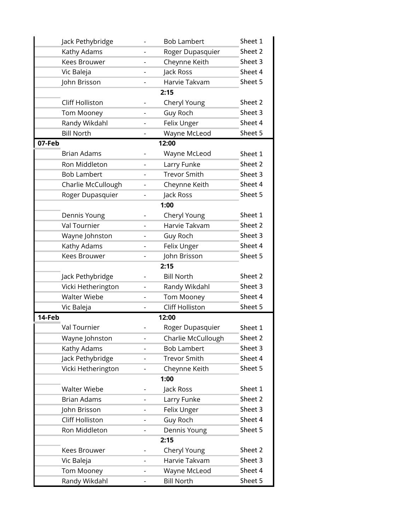| Jack Pethybridge       |                          | <b>Bob Lambert</b>     | Sheet 1 |  |  |  |  |
|------------------------|--------------------------|------------------------|---------|--|--|--|--|
| Kathy Adams            |                          | Roger Dupasquier       | Sheet 2 |  |  |  |  |
| Kees Brouwer           | -                        | Cheynne Keith          | Sheet 3 |  |  |  |  |
| Vic Baleja             |                          | Jack Ross              | Sheet 4 |  |  |  |  |
| John Brisson           | $\overline{\phantom{0}}$ | Harvie Takvam          | Sheet 5 |  |  |  |  |
| 2:15                   |                          |                        |         |  |  |  |  |
| Cliff Holliston        | Cheryl Young             | Sheet 2                |         |  |  |  |  |
| <b>Tom Mooney</b>      |                          | Guy Roch               | Sheet 3 |  |  |  |  |
| Randy Wikdahl          | $\overline{\phantom{0}}$ | Felix Unger            | Sheet 4 |  |  |  |  |
| <b>Bill North</b>      | -                        | Wayne McLeod           | Sheet 5 |  |  |  |  |
| 07-Feb                 |                          | 12:00                  |         |  |  |  |  |
| <b>Brian Adams</b>     |                          | Wayne McLeod           | Sheet 1 |  |  |  |  |
| Ron Middleton          |                          | Larry Funke            | Sheet 2 |  |  |  |  |
| <b>Bob Lambert</b>     | $\blacksquare$           | <b>Trevor Smith</b>    | Sheet 3 |  |  |  |  |
| Charlie McCullough     |                          | Cheynne Keith          | Sheet 4 |  |  |  |  |
| Roger Dupasquier       | $\overline{\phantom{0}}$ | Jack Ross              | Sheet 5 |  |  |  |  |
|                        |                          | 1:00                   |         |  |  |  |  |
| Dennis Young           |                          | Cheryl Young           | Sheet 1 |  |  |  |  |
| Val Tournier           |                          | Harvie Takvam          | Sheet 2 |  |  |  |  |
| Wayne Johnston         | $\overline{\phantom{0}}$ | Guy Roch               | Sheet 3 |  |  |  |  |
| Kathy Adams            | $\overline{\phantom{0}}$ | Felix Unger            | Sheet 4 |  |  |  |  |
| Kees Brouwer           | $\overline{\phantom{0}}$ | John Brisson           | Sheet 5 |  |  |  |  |
|                        |                          | 2:15                   |         |  |  |  |  |
| Jack Pethybridge       |                          | <b>Bill North</b>      | Sheet 2 |  |  |  |  |
| Vicki Hetherington     | $\overline{\phantom{0}}$ | Randy Wikdahl          | Sheet 3 |  |  |  |  |
| <b>Walter Wiebe</b>    |                          | <b>Tom Mooney</b>      | Sheet 4 |  |  |  |  |
| Vic Baleja             | $\overline{\phantom{0}}$ | <b>Cliff Holliston</b> | Sheet 5 |  |  |  |  |
| 14-Feb                 |                          | 12:00                  |         |  |  |  |  |
| Val Tournier           |                          | Roger Dupasquier       | Sheet 1 |  |  |  |  |
| Wayne Johnston         |                          | Charlie McCullough     | Sheet 2 |  |  |  |  |
| Kathy Adams            | $\overline{\phantom{0}}$ | <b>Bob Lambert</b>     | Sheet 3 |  |  |  |  |
| Jack Pethybridge       | $\overline{\phantom{0}}$ | <b>Trevor Smith</b>    | Sheet 4 |  |  |  |  |
| Vicki Hetherington     | $\overline{\phantom{0}}$ | Cheynne Keith          | Sheet 5 |  |  |  |  |
|                        |                          | 1:00                   |         |  |  |  |  |
| <b>Walter Wiebe</b>    |                          | Jack Ross              | Sheet 1 |  |  |  |  |
| <b>Brian Adams</b>     | $\overline{\phantom{0}}$ | Larry Funke            | Sheet 2 |  |  |  |  |
| John Brisson           |                          | Felix Unger            | Sheet 3 |  |  |  |  |
| <b>Cliff Holliston</b> | $\overline{\phantom{a}}$ | Guy Roch               | Sheet 4 |  |  |  |  |
| Ron Middleton          | $\overline{\phantom{0}}$ | Dennis Young           | Sheet 5 |  |  |  |  |
|                        |                          | 2:15                   |         |  |  |  |  |
| Kees Brouwer           |                          | Cheryl Young           | Sheet 2 |  |  |  |  |
| Vic Baleja             | $\overline{\phantom{a}}$ | Harvie Takvam          | Sheet 3 |  |  |  |  |
| <b>Tom Mooney</b>      |                          | Wayne McLeod           | Sheet 4 |  |  |  |  |
| Randy Wikdahl          | -                        | <b>Bill North</b>      | Sheet 5 |  |  |  |  |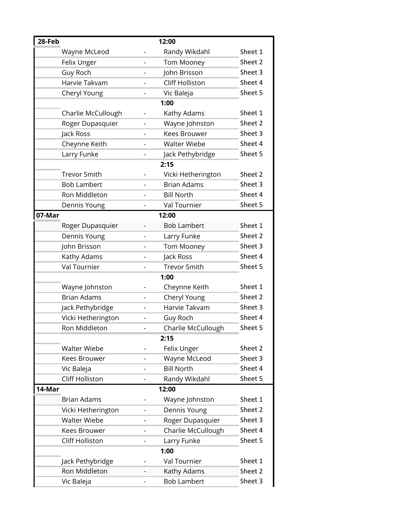| 28-Feb |                     |                          | 12:00                  |         |
|--------|---------------------|--------------------------|------------------------|---------|
|        | Wayne McLeod        |                          | Randy Wikdahl          | Sheet 1 |
|        | Felix Unger         |                          | Tom Mooney             | Sheet 2 |
|        | <b>Guy Roch</b>     | $\overline{\phantom{0}}$ | John Brisson           | Sheet 3 |
|        | Harvie Takvam       | $\overline{a}$           | <b>Cliff Holliston</b> | Sheet 4 |
|        | Cheryl Young        | $\overline{\phantom{a}}$ | Vic Baleja             | Sheet 5 |
|        |                     |                          | 1:00                   |         |
|        | Charlie McCullough  |                          | Kathy Adams            | Sheet 1 |
|        | Roger Dupasquier    | $\overline{\phantom{0}}$ | Wayne Johnston         | Sheet 2 |
|        | Jack Ross           |                          | Kees Brouwer           | Sheet 3 |
|        | Cheynne Keith       |                          | <b>Walter Wiebe</b>    | Sheet 4 |
|        | Larry Funke         |                          | Jack Pethybridge       | Sheet 5 |
|        |                     |                          | 2:15                   |         |
|        | <b>Trevor Smith</b> |                          | Vicki Hetherington     | Sheet 2 |
|        | <b>Bob Lambert</b>  | $\overline{a}$           | <b>Brian Adams</b>     | Sheet 3 |
|        | Ron Middleton       |                          | <b>Bill North</b>      | Sheet 4 |
|        | Dennis Young        |                          | Val Tournier           | Sheet 5 |
| 07-Mar |                     |                          | 12:00                  |         |
|        | Roger Dupasquier    |                          | <b>Bob Lambert</b>     | Sheet 1 |
|        | Dennis Young        |                          | Larry Funke            | Sheet 2 |
|        | John Brisson        |                          | <b>Tom Mooney</b>      | Sheet 3 |
|        | Kathy Adams         | $\overline{\phantom{a}}$ | Jack Ross              | Sheet 4 |
|        | Val Tournier        |                          | <b>Trevor Smith</b>    | Sheet 5 |
|        |                     |                          | 1:00                   |         |
|        | Wayne Johnston      |                          | Cheynne Keith          | Sheet 1 |
|        | <b>Brian Adams</b>  | $\overline{a}$           | Cheryl Young           | Sheet 2 |
|        | Jack Pethybridge    | $\overline{a}$           | Harvie Takvam          | Sheet 3 |
|        | Vicki Hetherington  |                          | Guy Roch               | Sheet 4 |
|        | Ron Middleton       |                          | Charlie McCullough     | Sheet 5 |
|        |                     |                          | 2:15                   |         |
|        | <b>Walter Wiebe</b> |                          | Felix Unger            | Sheet 2 |
|        | <b>Kees Brouwer</b> |                          | Wayne McLeod           | Sheet 3 |
|        | Vic Baleja          | $\overline{a}$           | <b>Bill North</b>      | Sheet 4 |
|        | Cliff Holliston     |                          | Randy Wikdahl          | Sheet 5 |
| 14-Mar |                     |                          | 12:00                  |         |
|        | <b>Brian Adams</b>  |                          | Wayne Johnston         | Sheet 1 |
|        | Vicki Hetherington  | $\overline{\phantom{m}}$ | Dennis Young           | Sheet 2 |
|        | <b>Walter Wiebe</b> | -                        | Roger Dupasquier       | Sheet 3 |
|        | Kees Brouwer        |                          | Charlie McCullough     | Sheet 4 |
|        | Cliff Holliston     | $\overline{\phantom{0}}$ | Larry Funke            | Sheet 5 |
|        |                     |                          | 1:00                   |         |
|        | Jack Pethybridge    |                          | Val Tournier           | Sheet 1 |
|        | Ron Middleton       |                          | Kathy Adams            | Sheet 2 |
|        | Vic Baleja          | $\overline{\phantom{0}}$ | <b>Bob Lambert</b>     | Sheet 3 |